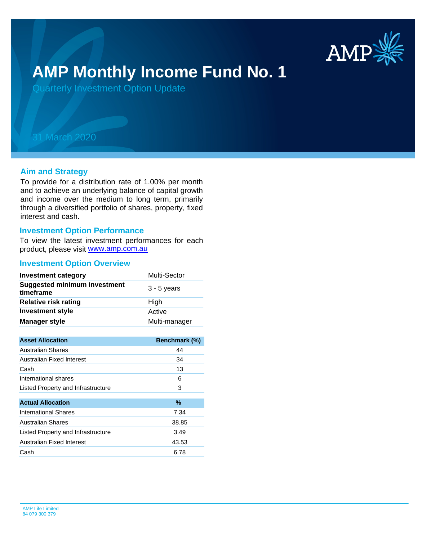

# **AMP Monthly Income Fund No. 1**

Quarterly Investment Option Update

## 31 March 2020

#### **Aim and Strategy**

To provide for a distribution rate of 1.00% per month and to achieve an underlying balance of capital growth and income over the medium to long term, primarily through a diversified portfolio of shares, property, fixed interest and cash.

#### **Investment Option Performance**

product, please visit [www.amp.com.au](https://www.amp.com.au) To view the latest investment performances for each

#### **Investment Option Overview**

| <b>Investment category</b>                       | Multi-Sector  |
|--------------------------------------------------|---------------|
| <b>Suggested minimum investment</b><br>timeframe | $3 - 5$ years |
| <b>Relative risk rating</b>                      | High          |
| <b>Investment style</b>                          | Active        |
| <b>Manager style</b>                             | Multi-manager |

| <b>Asset Allocation</b>            | <b>Benchmark (%)</b> |
|------------------------------------|----------------------|
| Australian Shares                  | 44                   |
| Australian Fixed Interest          | 34                   |
| Cash                               | 13                   |
| International shares               | 6                    |
| Listed Property and Infrastructure | 3                    |
|                                    |                      |
| <b>Actual Allocation</b>           | $\%$                 |
| <b>International Shares</b>        | 7.34                 |
| Australian Shares                  | 38.85                |
| Listed Property and Infrastructure | 3.49                 |
| Australian Fixed Interest          | 43.53                |
| Cash                               | 6.78                 |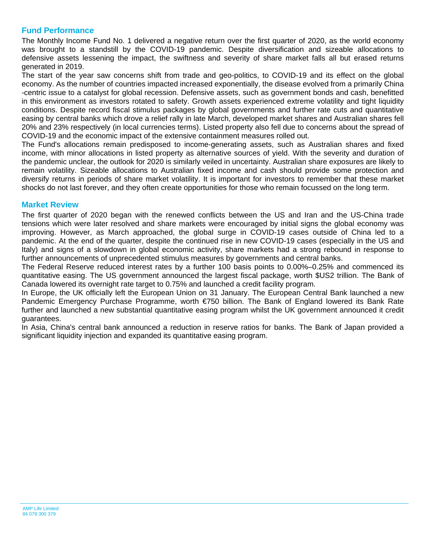### **Fund Performance**

The Monthly Income Fund No. 1 delivered a negative return over the first quarter of 2020, as the world economy was brought to a standstill by the COVID-19 pandemic. Despite diversification and sizeable allocations to defensive assets lessening the impact, the swiftness and severity of share market falls all but erased returns generated in 2019.

The start of the year saw concerns shift from trade and geo-politics, to COVID-19 and its effect on the global economy. As the number of countries impacted increased exponentially, the disease evolved from a primarily China -centric issue to a catalyst for global recession. Defensive assets, such as government bonds and cash, benefitted in this environment as investors rotated to safety. Growth assets experienced extreme volatility and tight liquidity conditions. Despite record fiscal stimulus packages by global governments and further rate cuts and quantitative easing by central banks which drove a relief rally in late March, developed market shares and Australian shares fell 20% and 23% respectively (in local currencies terms). Listed property also fell due to concerns about the spread of COVID-19 and the economic impact of the extensive containment measures rolled out.

The Fund's allocations remain predisposed to income-generating assets, such as Australian shares and fixed income, with minor allocations in listed property as alternative sources of yield. With the severity and duration of the pandemic unclear, the outlook for 2020 is similarly veiled in uncertainty. Australian share exposures are likely to remain volatility. Sizeable allocations to Australian fixed income and cash should provide some protection and diversify returns in periods of share market volatility. It is important for investors to remember that these market shocks do not last forever, and they often create opportunities for those who remain focussed on the long term.

#### **Market Review**

The first quarter of 2020 began with the renewed conflicts between the US and Iran and the US-China trade tensions which were later resolved and share markets were encouraged by initial signs the global economy was improving. However, as March approached, the global surge in COVID-19 cases outside of China led to a pandemic. At the end of the quarter, despite the continued rise in new COVID-19 cases (especially in the US and Italy) and signs of a slowdown in global economic activity, share markets had a strong rebound in response to further announcements of unprecedented stimulus measures by governments and central banks.

The Federal Reserve reduced interest rates by a further 100 basis points to 0.00%–0.25% and commenced its quantitative easing. The US government announced the largest fiscal package, worth \$US2 trillion. The Bank of Canada lowered its overnight rate target to 0.75% and launched a credit facility program.

In Europe, the UK officially left the European Union on 31 January. The European Central Bank launched a new Pandemic Emergency Purchase Programme, worth €750 billion. The Bank of England lowered its Bank Rate further and launched a new substantial quantitative easing program whilst the UK government announced it credit guarantees.

In Asia, China's central bank announced a reduction in reserve ratios for banks. The Bank of Japan provided a significant liquidity injection and expanded its quantitative easing program.